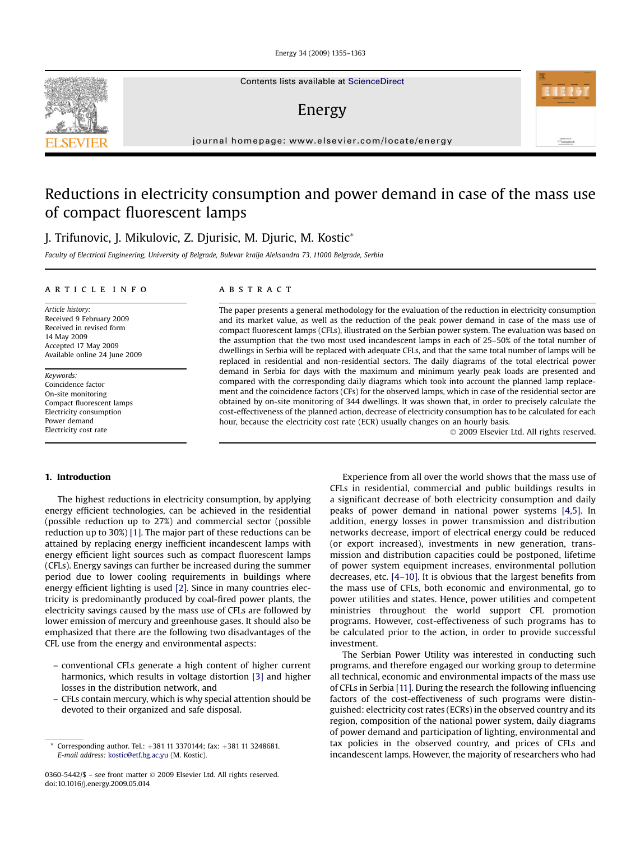Energy 34 (2009) 1355–1363

Contents lists available at [ScienceDirect](www.sciencedirect.com/science/journal/03605442)

### Energy

journal homepage: [www.elsevier.com/locate/energy](http://www.elsevier.com/locate/energy)

## Reductions in electricity consumption and power demand in case of the mass use of compact fluorescent lamps

J. Trifunovic, J. Mikulovic, Z. Djurisic, M. Djuric, M. Kostic\*

Faculty of Electrical Engineering, University of Belgrade, Bulevar kralja Aleksandra 73, 11000 Belgrade, Serbia

#### article info

Article history: Received 9 February 2009 Received in revised form 14 May 2009 Accepted 17 May 2009 Available online 24 June 2009

Keywords: Coincidence factor On-site monitoring Compact fluorescent lamps Electricity consumption Power demand Electricity cost rate

#### 1. Introduction

The highest reductions in electricity consumption, by applying energy efficient technologies, can be achieved in the residential (possible reduction up to 27%) and commercial sector (possible reduction up to 30%) [\[1\]](#page--1-0). The major part of these reductions can be attained by replacing energy inefficient incandescent lamps with energy efficient light sources such as compact fluorescent lamps (CFLs). Energy savings can further be increased during the summer period due to lower cooling requirements in buildings where energy efficient lighting is used [\[2\]](#page--1-0). Since in many countries electricity is predominantly produced by coal-fired power plants, the electricity savings caused by the mass use of CFLs are followed by lower emission of mercury and greenhouse gases. It should also be emphasized that there are the following two disadvantages of the CFL use from the energy and environmental aspects:

- conventional CFLs generate a high content of higher current harmonics, which results in voltage distortion [\[3\]](#page--1-0) and higher losses in the distribution network, and
- CFLs contain mercury, which is why special attention should be devoted to their organized and safe disposal.

#### **ABSTRACT**

The paper presents a general methodology for the evaluation of the reduction in electricity consumption and its market value, as well as the reduction of the peak power demand in case of the mass use of compact fluorescent lamps (CFLs), illustrated on the Serbian power system. The evaluation was based on the assumption that the two most used incandescent lamps in each of 25–50% of the total number of dwellings in Serbia will be replaced with adequate CFLs, and that the same total number of lamps will be replaced in residential and non-residential sectors. The daily diagrams of the total electrical power demand in Serbia for days with the maximum and minimum yearly peak loads are presented and compared with the corresponding daily diagrams which took into account the planned lamp replacement and the coincidence factors (CFs) for the observed lamps, which in case of the residential sector are obtained by on-site monitoring of 344 dwellings. It was shown that, in order to precisely calculate the cost-effectiveness of the planned action, decrease of electricity consumption has to be calculated for each hour, because the electricity cost rate (ECR) usually changes on an hourly basis.

- 2009 Elsevier Ltd. All rights reserved.

Experience from all over the world shows that the mass use of CFLs in residential, commercial and public buildings results in a significant decrease of both electricity consumption and daily peaks of power demand in national power systems [\[4,5\]](#page--1-0). In addition, energy losses in power transmission and distribution networks decrease, import of electrical energy could be reduced (or export increased), investments in new generation, transmission and distribution capacities could be postponed, lifetime of power system equipment increases, environmental pollution decreases, etc. [\[4–10\]](#page--1-0). It is obvious that the largest benefits from the mass use of CFLs, both economic and environmental, go to power utilities and states. Hence, power utilities and competent ministries throughout the world support CFL promotion programs. However, cost-effectiveness of such programs has to be calculated prior to the action, in order to provide successful investment.

The Serbian Power Utility was interested in conducting such programs, and therefore engaged our working group to determine all technical, economic and environmental impacts of the mass use of CFLs in Serbia [\[11\]](#page--1-0). During the research the following influencing factors of the cost-effectiveness of such programs were distinguished: electricity cost rates (ECRs) in the observed country and its region, composition of the national power system, daily diagrams of power demand and participation of lighting, environmental and tax policies in the observed country, and prices of CFLs and incandescent lamps. However, the majority of researchers who had



Corresponding author. Tel.: +381 11 3370144; fax: +381 11 3248681. E-mail address: [kostic@etf.bg.ac.yu](mailto:kostic@etf.bg.ac.yu) (M. Kostic).

<sup>0360-5442/\$ –</sup> see front matter © 2009 Elsevier Ltd. All rights reserved. doi:10.1016/j.energy.2009.05.014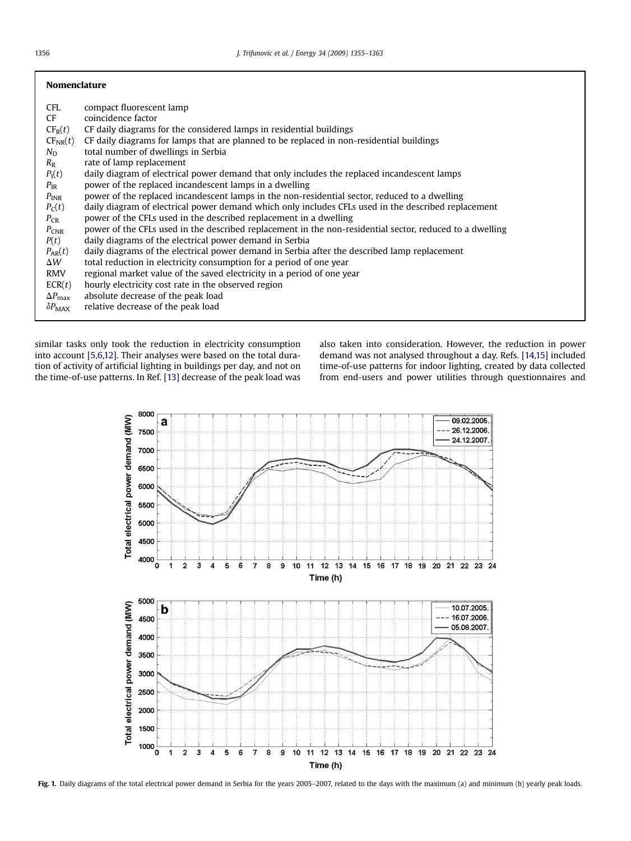| <b>Nomenclature</b>  |                                                                                                          |
|----------------------|----------------------------------------------------------------------------------------------------------|
| CFL.                 | compact fluorescent lamp                                                                                 |
| <b>CF</b>            | coincidence factor                                                                                       |
| $CF_R(t)$            | CF daily diagrams for the considered lamps in residential buildings                                      |
| $CF_{NR}(t)$         | CF daily diagrams for lamps that are planned to be replaced in non-residential buildings                 |
| $N_{\rm D}$          | total number of dwellings in Serbia                                                                      |
| $R_{\rm R}$          | rate of lamp replacement                                                                                 |
| $P_{I}(t)$           | daily diagram of electrical power demand that only includes the replaced incandescent lamps              |
| $P_{IR}$             | power of the replaced incandescent lamps in a dwelling                                                   |
| $P_{INR}$            | power of the replaced incandescent lamps in the non-residential sector, reduced to a dwelling            |
| $P_C(t)$             | daily diagram of electrical power demand which only includes CFLs used in the described replacement      |
| $P_{CR}$             | power of the CFLs used in the described replacement in a dwelling                                        |
| $P_{CNR}$            | power of the CFLs used in the described replacement in the non-residential sector, reduced to a dwelling |
| P(t)                 | daily diagrams of the electrical power demand in Serbia                                                  |
| $P_{AR}(t)$          | daily diagrams of the electrical power demand in Serbia after the described lamp replacement             |
| $\Delta W$           | total reduction in electricity consumption for a period of one year                                      |
| <b>RMV</b>           | regional market value of the saved electricity in a period of one year                                   |
| ECR(t)               | hourly electricity cost rate in the observed region                                                      |
| $\Delta P_{\rm max}$ | absolute decrease of the peak load                                                                       |
| $\delta P_{MAX}$     | relative decrease of the peak load                                                                       |

similar tasks only took the reduction in electricity consumption into account [\[5,6,12\]](#page--1-0). Their analyses were based on the total duration of activity of artificial lighting in buildings per day, and not on the time-of-use patterns. In Ref. [\[13\]](#page--1-0) decrease of the peak load was also taken into consideration. However, the reduction in power demand was not analysed throughout a day. Refs. [\[14,15\]](#page--1-0) included time-of-use patterns for indoor lighting, created by data collected from end-users and power utilities through questionnaires and



Fig. 1. Daily diagrams of the total electrical power demand in Serbia for the years 2005-2007, related to the days with the maximum (a) and minimum (b) yearly peak loads.